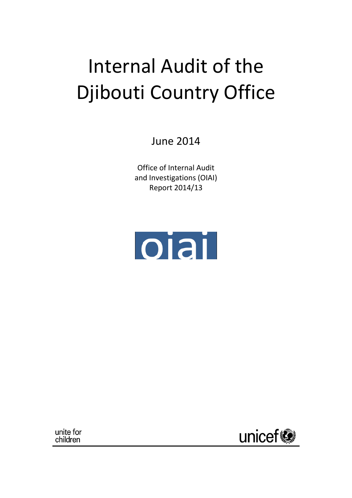# Internal Audit of the Djibouti Country Office

June 2014

Office of Internal Audit and Investigations (OIAI) Report 2014/13



unite for children

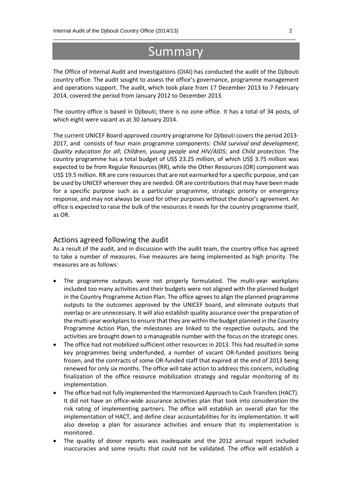# Summary

\_\_\_\_\_\_\_\_\_\_\_\_\_\_\_\_\_\_\_\_\_\_\_\_\_\_\_\_\_\_\_\_\_\_\_\_\_\_\_\_\_\_\_\_\_\_\_\_\_\_\_\_\_\_\_\_\_\_\_\_\_\_\_\_\_\_\_\_\_\_\_\_\_\_\_\_\_\_\_\_\_\_

The Office of Internal Audit and Investigations (OIAI) has conducted the audit of the Djibouti country office. The audit sought to assess the office's governance, programme management and operations support. The audit, which took place from 17 December 2013 to 7 February 2014, covered the period from January 2012 to December 2013.

The country office is based in Djibouti; there is no zone office. It has a total of 34 posts, of which eight were vacant as at 30 January 2014.

The current UNICEF Board-approved country programme for Djibouti covers the period 2013- 2017, and consists of four main programme components: *Child survival and development*; *Quality education for all*; *Children, young people and HIV/AIDS*; and *Child protection*. The country programme has a total budget of US\$ 23.25 million, of which US\$ 3.75 million was expected to be from Regular Resources (RR), while the Other Resources (OR) component was US\$ 19.5 million. RR are core resources that are not earmarked for a specific purpose, and can be used by UNICEF wherever they are needed. OR are contributions that may have been made for a specific purpose such as a particular programme, strategic priority or emergency response, and may not always be used for other purposes without the donor's agreement. An office is expected to raise the bulk of the resources it needs for the country programme itself, as OR.

#### Actions agreed following the audit

As a result of the audit, and in discussion with the audit team, the country office has agreed to take a number of measures. Five measures are being implemented as high priority. The measures are as follows:

- The programme outputs were not properly formulated. The multi-year workplans included too many activities and their budgets were not aligned with the planned budget in the Country Programme Action Plan. The office agrees to align the planned programme outputs to the outcomes approved by the UNICEF board, and eliminate outputs that overlap or are unnecessary. It will also establish quality assurance over the preparation of the multi-year workplans to ensure that they are within the budget planned in the Country Programme Action Plan, the milestones are linked to the respective outputs, and the activities are brought down to a manageable number with the focus on the strategic ones.
- The office had not mobilized sufficient other resources in 2013. This had resulted in some key programmes being underfunded, a number of vacant OR-funded positions being frozen, and the contracts of some OR-funded staff that expired at the end of 2013 being renewed for only six months. The office will take action to address this concern, including finalization of the office resource mobilization strategy and regular monitoring of its implementation.
- The office had not fully implemented the Harmonized Approach to Cash Transfers (HACT). It did not have an office-wide assurance activities plan that took into consideration the risk rating of implementing partners. The office will establish an overall plan for the implementation of HACT, and define clear accountabilities for its implementation. It will also develop a plan for assurance activities and ensure that its implementation is monitored.
- The quality of donor reports was inadequate and the 2012 annual report included inaccuracies and some results that could not be validated. The office will establish a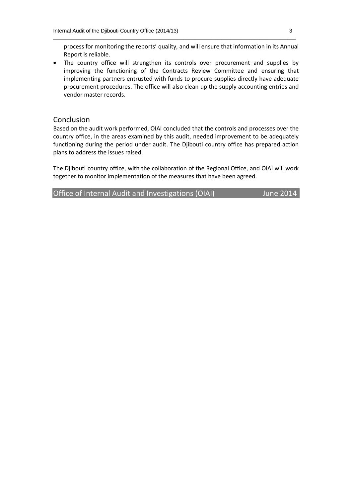process for monitoring the reports' quality, and will ensure that information in its Annual Report is reliable.

\_\_\_\_\_\_\_\_\_\_\_\_\_\_\_\_\_\_\_\_\_\_\_\_\_\_\_\_\_\_\_\_\_\_\_\_\_\_\_\_\_\_\_\_\_\_\_\_\_\_\_\_\_\_\_\_\_\_\_\_\_\_\_\_\_\_\_\_\_\_\_\_\_\_\_\_\_\_\_\_\_\_

 The country office will strengthen its controls over procurement and supplies by improving the functioning of the Contracts Review Committee and ensuring that implementing partners entrusted with funds to procure supplies directly have adequate procurement procedures. The office will also clean up the supply accounting entries and vendor master records.

#### Conclusion

Based on the audit work performed, OIAI concluded that the controls and processes over the country office, in the areas examined by this audit, needed improvement to be adequately functioning during the period under audit. The Djibouti country office has prepared action plans to address the issues raised.

The Djibouti country office, with the collaboration of the Regional Office, and OIAI will work together to monitor implementation of the measures that have been agreed.

Office of Internal Audit and Investigations (OIAI) June 2014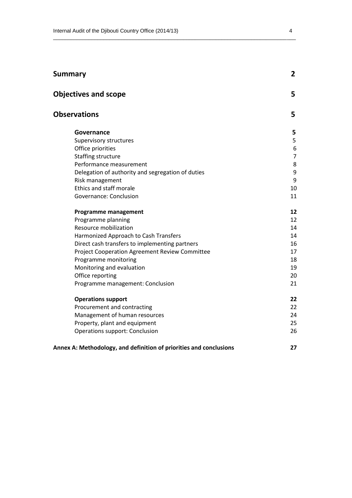| Summary                                                            | $\overline{2}$ |
|--------------------------------------------------------------------|----------------|
| <b>Objectives and scope</b>                                        | 5              |
| <b>Observations</b>                                                | 5              |
| Governance                                                         | 5              |
| Supervisory structures                                             | 5              |
| Office priorities                                                  | 6              |
| Staffing structure                                                 | $\overline{7}$ |
| Performance measurement                                            | 8              |
| Delegation of authority and segregation of duties                  | 9              |
| Risk management                                                    | 9              |
| Ethics and staff morale                                            | 10             |
| Governance: Conclusion                                             | 11             |
| Programme management                                               | 12             |
| Programme planning                                                 | 12             |
| Resource mobilization                                              | 14             |
| Harmonized Approach to Cash Transfers                              | 14             |
| Direct cash transfers to implementing partners                     | 16             |
| <b>Project Cooperation Agreement Review Committee</b>              | 17             |
| Programme monitoring                                               | 18             |
| Monitoring and evaluation                                          | 19             |
| Office reporting                                                   | 20             |
| Programme management: Conclusion                                   | 21             |
| <b>Operations support</b>                                          | 22             |
| Procurement and contracting                                        | 22             |
| Management of human resources                                      | 24             |
| Property, plant and equipment                                      | 25             |
| <b>Operations support: Conclusion</b>                              | 26             |
| Annex A: Methodology, and definition of priorities and conclusions | 27             |

\_\_\_\_\_\_\_\_\_\_\_\_\_\_\_\_\_\_\_\_\_\_\_\_\_\_\_\_\_\_\_\_\_\_\_\_\_\_\_\_\_\_\_\_\_\_\_\_\_\_\_\_\_\_\_\_\_\_\_\_\_\_\_\_\_\_\_\_\_\_\_\_\_\_\_\_\_\_\_\_\_\_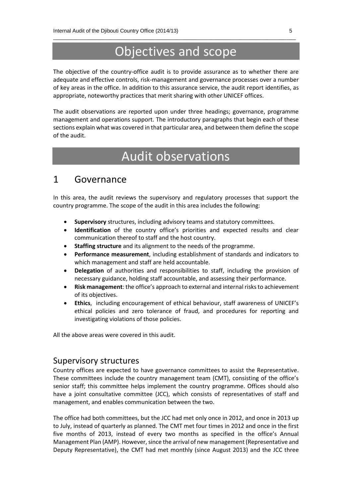# Objectives and scope

\_\_\_\_\_\_\_\_\_\_\_\_\_\_\_\_\_\_\_\_\_\_\_\_\_\_\_\_\_\_\_\_\_\_\_\_\_\_\_\_\_\_\_\_\_\_\_\_\_\_\_\_\_\_\_\_\_\_\_\_\_\_\_\_\_\_\_\_\_\_\_\_\_\_\_\_\_\_\_\_\_\_

The objective of the country-office audit is to provide assurance as to whether there are adequate and effective controls, risk-management and governance processes over a number of key areas in the office. In addition to this assurance service, the audit report identifies, as appropriate, noteworthy practices that merit sharing with other UNICEF offices.

The audit observations are reported upon under three headings; governance, programme management and operations support. The introductory paragraphs that begin each of these sections explain what was covered in that particular area, and between them define the scope of the audit.

# Audit observations

# 1 Governance

In this area, the audit reviews the supervisory and regulatory processes that support the country programme. The scope of the audit in this area includes the following:

- **Supervisory** structures, including advisory teams and statutory committees.
- **Identification** of the country office's priorities and expected results and clear communication thereof to staff and the host country.
- **Staffing structure** and its alignment to the needs of the programme.
- **Performance measurement**, including establishment of standards and indicators to which management and staff are held accountable.
- **Delegation** of authorities and responsibilities to staff, including the provision of necessary guidance, holding staff accountable, and assessing their performance.
- **Risk management**: the office's approach to external and internal risks to achievement of its objectives.
- **Ethics**, including encouragement of ethical behaviour, staff awareness of UNICEF's ethical policies and zero tolerance of fraud, and procedures for reporting and investigating violations of those policies.

All the above areas were covered in this audit.

#### Supervisory structures

Country offices are expected to have governance committees to assist the Representative. These committees include the country management team (CMT), consisting of the office's senior staff; this committee helps implement the country programme. Offices should also have a joint consultative committee (JCC), which consists of representatives of staff and management, and enables communication between the two.

The office had both committees, but the JCC had met only once in 2012, and once in 2013 up to July, instead of quarterly as planned. The CMT met four times in 2012 and once in the first five months of 2013, instead of every two months as specified in the office's Annual Management Plan (AMP). However, since the arrival of new management (Representative and Deputy Representative), the CMT had met monthly (since August 2013) and the JCC three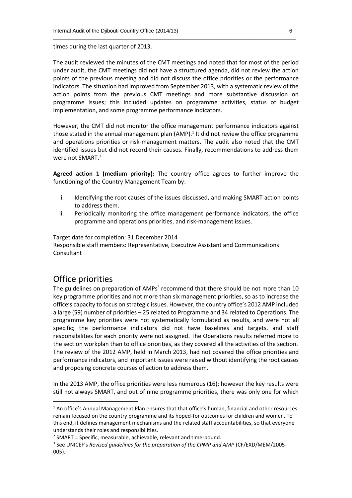times during the last quarter of 2013.

The audit reviewed the minutes of the CMT meetings and noted that for most of the period under audit, the CMT meetings did not have a structured agenda, did not review the action points of the previous meeting and did not discuss the office priorities or the performance indicators. The situation had improved from September 2013, with a systematic review of the action points from the previous CMT meetings and more substantive discussion on programme issues; this included updates on programme activities, status of budget implementation, and some programme performance indicators.

\_\_\_\_\_\_\_\_\_\_\_\_\_\_\_\_\_\_\_\_\_\_\_\_\_\_\_\_\_\_\_\_\_\_\_\_\_\_\_\_\_\_\_\_\_\_\_\_\_\_\_\_\_\_\_\_\_\_\_\_\_\_\_\_\_\_\_\_\_\_\_\_\_\_\_\_\_\_\_\_\_\_

However, the CMT did not monitor the office management performance indicators against those stated in the annual management plan (AMP).<sup>1</sup> It did not review the office programme and operations priorities or risk-management matters. The audit also noted that the CMT identified issues but did not record their causes. Finally, recommendations to address them were not SMART. 2

**Agreed action 1 (medium priority):** The country office agrees to further improve the functioning of the Country Management Team by:

- i. Identifying the root causes of the issues discussed, and making SMART action points to address them.
- ii. Periodically monitoring the office management performance indicators, the office programme and operations priorities, and risk-management issues.

Target date for completion: 31 December 2014

Responsible staff members: Representative, Executive Assistant and Communications Consultant

## Office priorities

 $\overline{a}$ 

The guidelines on preparation of AMPs<sup>3</sup> recommend that there should be not more than 10 key programme priorities and not more than six management priorities, so as to increase the office's capacity to focus on strategic issues. However, the country office's 2012 AMP included a large (59) number of priorities – 25 related to Programme and 34 related to Operations. The programme key priorities were not systematically formulated as results, and were not all specific; the performance indicators did not have baselines and targets, and staff responsibilities for each priority were not assigned. The Operations results referred more to the section workplan than to office priorities, as they covered all the activities of the section. The review of the 2012 AMP, held in March 2013, had not covered the office priorities and performance indicators, and important issues were raised without identifying the root causes and proposing concrete courses of action to address them.

In the 2013 AMP, the office priorities were less numerous (16); however the key results were still not always SMART, and out of nine programme priorities, there was only one for which

<sup>&</sup>lt;sup>1</sup> An office's Annual Management Plan ensures that that office's human, financial and other resources remain focused on the country programme and its hoped-for outcomes for children and women. To this end, it defines management mechanisms and the related staff accountabilities, so that everyone understands their roles and responsibilities.

 $2$  SMART = Specific, measurable, achievable, relevant and time-bound.

<sup>&</sup>lt;sup>3</sup> See UNICEF's *Revised guidelines for the preparation of the CPMP and AMP* (CF/EXD/MEM/2005-005).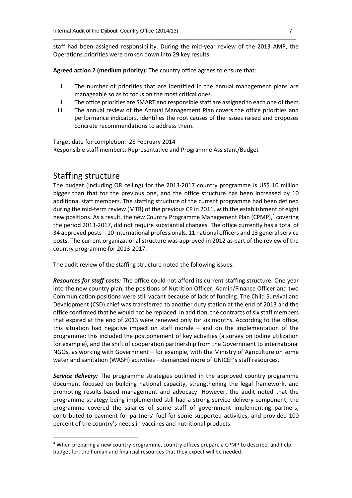staff had been assigned responsibility. During the mid-year review of the 2013 AMP, the Operations priorities were broken down into 29 key results.

\_\_\_\_\_\_\_\_\_\_\_\_\_\_\_\_\_\_\_\_\_\_\_\_\_\_\_\_\_\_\_\_\_\_\_\_\_\_\_\_\_\_\_\_\_\_\_\_\_\_\_\_\_\_\_\_\_\_\_\_\_\_\_\_\_\_\_\_\_\_\_\_\_\_\_\_\_\_\_\_\_\_

**Agreed action 2 (medium priority):** The country office agrees to ensure that:

- i. The number of priorities that are identified in the annual management plans are manageable so as to focus on the most critical ones.
- ii. The office priorities are SMART and responsible staff are assigned to each one of them.
- iii. The annual review of the Annual Management Plan covers the office priorities and performance indicators, identifies the root causes of the issues raised and proposes concrete recommendations to address them.

Target date for completion: 28 February 2014 Responsible staff members: Representative and Programme Assistant/Budget

### Staffing structure

**.** 

The budget (including OR ceiling) for the 2013-2017 country programme is US\$ 10 million bigger than that for the previous one, and the office structure has been increased by 10 additional staff members. The staffing structure of the current programme had been defined during the mid-term review (MTR) of the previous CP in 2011, with the establishment of eight new positions. As a result, the new Country Programme Management Plan (CPMP),<sup>4</sup> covering the period 2013-2017, did not require substantial changes. The office currently has a total of 34 approved posts – 10 international professionals, 11 national officers and 13 general service posts. The current organizational structure was approved in 2012 as part of the review of the country programme for 2013-2017.

The audit review of the staffing structure noted the following issues.

*Resources for staff costs:* The office could not afford its current staffing structure. One year into the new country plan, the positions of Nutrition Officer, Admin/Finance Officer and two Communication positions were still vacant because of lack of funding. The Child Survival and Development (CSD) chief was transferred to another duty station at the end of 2013 and the office confirmed that he would not be replaced. In addition, the contracts of six staff members that expired at the end of 2013 were renewed only for six months. According to the office, this situation had negative impact on staff morale – and on the implementation of the programme; this included the postponement of key activities (a survey on iodine utilization for example), and the shift of cooperation partnership from the Government to international NGOs, as working with Government – for example, with the Ministry of Agriculture on some water and sanitation (WASH) activities – demanded more of UNICEF's staff resources.

*Service delivery:* The programme strategies outlined in the approved country programme document focused on building national capacity, strengthening the legal framework, and promoting results-based management and advocacy. However, the audit noted that the programme strategy being implemented still had a strong service delivery component; the programme covered the salaries of some staff of government implementing partners, contributed to payment for partners' fuel for some supported activities, and provided 100 percent of the country's needs in vaccines and nutritional products.

<sup>&</sup>lt;sup>4</sup> When preparing a new country programme, country offices prepare a CPMP to describe, and help budget for, the human and financial resources that they expect will be needed.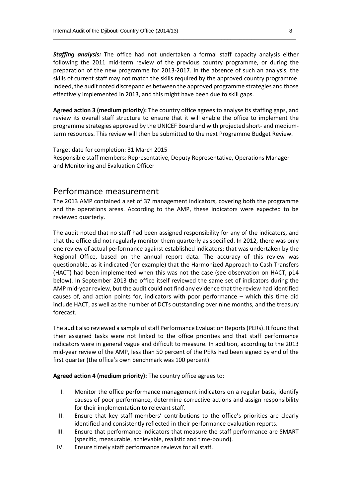*Staffing analysis:* The office had not undertaken a formal staff capacity analysis either following the 2011 mid-term review of the previous country programme, or during the preparation of the new programme for 2013-2017. In the absence of such an analysis, the skills of current staff may not match the skills required by the approved country programme. Indeed, the audit noted discrepancies between the approved programme strategies and those effectively implemented in 2013, and this might have been due to skill gaps.

\_\_\_\_\_\_\_\_\_\_\_\_\_\_\_\_\_\_\_\_\_\_\_\_\_\_\_\_\_\_\_\_\_\_\_\_\_\_\_\_\_\_\_\_\_\_\_\_\_\_\_\_\_\_\_\_\_\_\_\_\_\_\_\_\_\_\_\_\_\_\_\_\_\_\_\_\_\_\_\_\_\_

**Agreed action 3 (medium priority):** The country office agrees to analyse its staffing gaps, and review its overall staff structure to ensure that it will enable the office to implement the programme strategies approved by the UNICEF Board and with projected short- and mediumterm resources. This review will then be submitted to the next Programme Budget Review.

Target date for completion: 31 March 2015 Responsible staff members: Representative, Deputy Representative, Operations Manager and Monitoring and Evaluation Officer

#### Performance measurement

The 2013 AMP contained a set of 37 management indicators, covering both the programme and the operations areas. According to the AMP, these indicators were expected to be reviewed quarterly.

The audit noted that no staff had been assigned responsibility for any of the indicators, and that the office did not regularly monitor them quarterly as specified. In 2012, there was only one review of actual performance against established indicators; that was undertaken by the Regional Office, based on the annual report data. The accuracy of this review was questionable, as it indicated (for example) that the Harmonized Approach to Cash Transfers (HACT) had been implemented when this was not the case (see observation on HACT, p14 below). In September 2013 the office itself reviewed the same set of indicators during the AMP mid-year review, but the audit could not find any evidence that the review had identified causes of, and action points for, indicators with poor performance – which this time did include HACT, as well as the number of DCTs outstanding over nine months, and the treasury forecast.

The audit also reviewed a sample of staff Performance Evaluation Reports (PERs). It found that their assigned tasks were not linked to the office priorities and that staff performance indicators were in general vague and difficult to measure. In addition, according to the 2013 mid-year review of the AMP, less than 50 percent of the PERs had been signed by end of the first quarter (the office's own benchmark was 100 percent).

**Agreed action 4 (medium priority):** The country office agrees to:

- I. Monitor the office performance management indicators on a regular basis, identify causes of poor performance, determine corrective actions and assign responsibility for their implementation to relevant staff.
- II. Ensure that key staff members' contributions to the office's priorities are clearly identified and consistently reflected in their performance evaluation reports.
- III. Ensure that performance indicators that measure the staff performance are SMART (specific, measurable, achievable, realistic and time-bound).
- IV. Ensure timely staff performance reviews for all staff.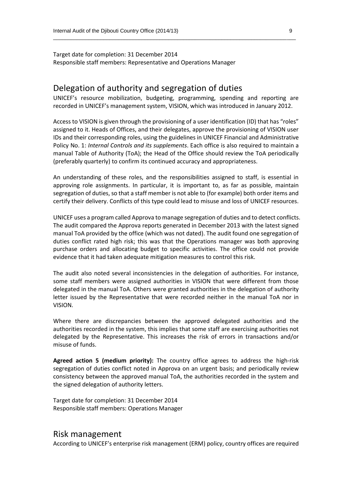Target date for completion: 31 December 2014 Responsible staff members: Representative and Operations Manager

## Delegation of authority and segregation of duties

UNICEF's resource mobilization, budgeting, programming, spending and reporting are recorded in UNICEF's management system, VISION, which was introduced in January 2012.

\_\_\_\_\_\_\_\_\_\_\_\_\_\_\_\_\_\_\_\_\_\_\_\_\_\_\_\_\_\_\_\_\_\_\_\_\_\_\_\_\_\_\_\_\_\_\_\_\_\_\_\_\_\_\_\_\_\_\_\_\_\_\_\_\_\_\_\_\_\_\_\_\_\_\_\_\_\_\_\_\_\_

Access to VISION is given through the provisioning of a user identification (ID) that has "roles" assigned to it. Heads of Offices, and their delegates, approve the provisioning of VISION user IDs and their corresponding roles, using the guidelines in UNICEF Financial and Administrative Policy No. 1: *Internal Controls and its supplements*. Each office is also required to maintain a manual Table of Authority (ToA); the Head of the Office should review the ToA periodically (preferably quarterly) to confirm its continued accuracy and appropriateness.

An understanding of these roles, and the responsibilities assigned to staff, is essential in approving role assignments. In particular, it is important to, as far as possible, maintain segregation of duties, so that a staff member is not able to (for example) both order items and certify their delivery. Conflicts of this type could lead to misuse and loss of UNICEF resources.

UNICEF uses a program called Approva to manage segregation of duties and to detect conflicts. The audit compared the Approva reports generated in December 2013 with the latest signed manual ToA provided by the office (which was not dated). The audit found one segregation of duties conflict rated high risk; this was that the Operations manager was both approving purchase orders and allocating budget to specific activities. The office could not provide evidence that it had taken adequate mitigation measures to control this risk.

The audit also noted several inconsistencies in the delegation of authorities. For instance, some staff members were assigned authorities in VISION that were different from those delegated in the manual ToA. Others were granted authorities in the delegation of authority letter issued by the Representative that were recorded neither in the manual ToA nor in VISION.

Where there are discrepancies between the approved delegated authorities and the authorities recorded in the system, this implies that some staff are exercising authorities not delegated by the Representative. This increases the risk of errors in transactions and/or misuse of funds.

**Agreed action 5 (medium priority):** The country office agrees to address the high-risk segregation of duties conflict noted in Approva on an urgent basis; and periodically review consistency between the approved manual ToA, the authorities recorded in the system and the signed delegation of authority letters.

Target date for completion: 31 December 2014 Responsible staff members: Operations Manager

#### Risk management

According to UNICEF's enterprise risk management (ERM) policy, country offices are required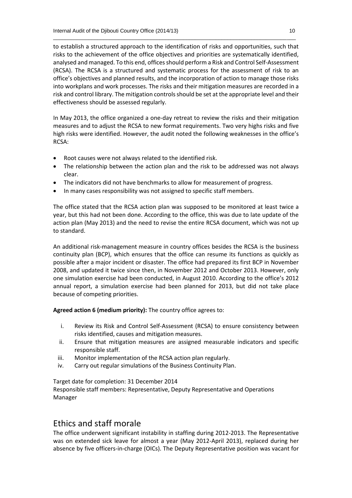to establish a structured approach to the identification of risks and opportunities, such that risks to the achievement of the office objectives and priorities are systematically identified, analysed and managed. To this end, offices should perform a Risk and Control Self-Assessment (RCSA). The RCSA is a structured and systematic process for the assessment of risk to an office's objectives and planned results, and the incorporation of action to manage those risks into workplans and work processes. The risks and their mitigation measures are recorded in a risk and control library. The mitigation controls should be set at the appropriate level and their effectiveness should be assessed regularly.

\_\_\_\_\_\_\_\_\_\_\_\_\_\_\_\_\_\_\_\_\_\_\_\_\_\_\_\_\_\_\_\_\_\_\_\_\_\_\_\_\_\_\_\_\_\_\_\_\_\_\_\_\_\_\_\_\_\_\_\_\_\_\_\_\_\_\_\_\_\_\_\_\_\_\_\_\_\_\_\_\_\_

In May 2013, the office organized a one-day retreat to review the risks and their mitigation measures and to adjust the RCSA to new format requirements. Two very highs risks and five high risks were identified. However, the audit noted the following weaknesses in the office's RCSA:

- Root causes were not always related to the identified risk.
- The relationship between the action plan and the risk to be addressed was not always clear.
- The indicators did not have benchmarks to allow for measurement of progress.
- In many cases responsibility was not assigned to specific staff members.

The office stated that the RCSA action plan was supposed to be monitored at least twice a year, but this had not been done. According to the office, this was due to late update of the action plan (May 2013) and the need to revise the entire RCSA document, which was not up to standard.

An additional risk-management measure in country offices besides the RCSA is the business continuity plan (BCP), which ensures that the office can resume its functions as quickly as possible after a major incident or disaster. The office had prepared its first BCP in November 2008, and updated it twice since then, in November 2012 and October 2013. However, only one simulation exercise had been conducted, in August 2010. According to the office's 2012 annual report, a simulation exercise had been planned for 2013, but did not take place because of competing priorities.

**Agreed action 6 (medium priority):** The country office agrees to:

- i. Review its Risk and Control Self-Assessment (RCSA) to ensure consistency between risks identified, causes and mitigation measures.
- ii. Ensure that mitigation measures are assigned measurable indicators and specific responsible staff.
- iii. Monitor implementation of the RCSA action plan regularly.
- iv. Carry out regular simulations of the Business Continuity Plan.

Target date for completion: 31 December 2014 Responsible staff members: Representative, Deputy Representative and Operations Manager

# Ethics and staff morale

The office underwent significant instability in staffing during 2012-2013. The Representative was on extended sick leave for almost a year (May 2012-April 2013), replaced during her absence by five officers-in-charge (OICs). The Deputy Representative position was vacant for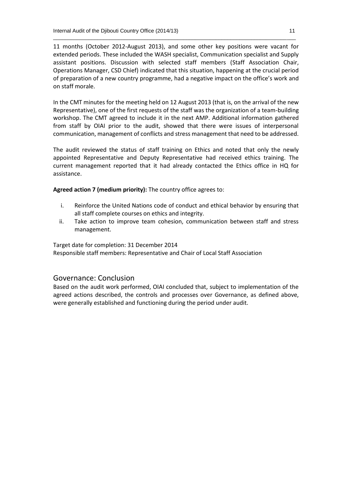11 months (October 2012-August 2013), and some other key positions were vacant for extended periods. These included the WASH specialist, Communication specialist and Supply assistant positions. Discussion with selected staff members (Staff Association Chair, Operations Manager, CSD Chief) indicated that this situation, happening at the crucial period of preparation of a new country programme, had a negative impact on the office's work and on staff morale.

\_\_\_\_\_\_\_\_\_\_\_\_\_\_\_\_\_\_\_\_\_\_\_\_\_\_\_\_\_\_\_\_\_\_\_\_\_\_\_\_\_\_\_\_\_\_\_\_\_\_\_\_\_\_\_\_\_\_\_\_\_\_\_\_\_\_\_\_\_\_\_\_\_\_\_\_\_\_\_\_\_\_

In the CMT minutes for the meeting held on 12 August 2013 (that is, on the arrival of the new Representative), one of the first requests of the staff was the organization of a team-building workshop. The CMT agreed to include it in the next AMP. Additional information gathered from staff by OIAI prior to the audit, showed that there were issues of interpersonal communication, management of conflicts and stress management that need to be addressed.

The audit reviewed the status of staff training on Ethics and noted that only the newly appointed Representative and Deputy Representative had received ethics training. The current management reported that it had already contacted the Ethics office in HQ for assistance.

**Agreed action 7 (medium priority):** The country office agrees to:

- i. Reinforce the United Nations code of conduct and ethical behavior by ensuring that all staff complete courses on ethics and integrity.
- ii. Take action to improve team cohesion, communication between staff and stress management.

Target date for completion: 31 December 2014 Responsible staff members: Representative and Chair of Local Staff Association

#### Governance: Conclusion

Based on the audit work performed, OIAI concluded that, subject to implementation of the agreed actions described, the controls and processes over Governance, as defined above, were generally established and functioning during the period under audit.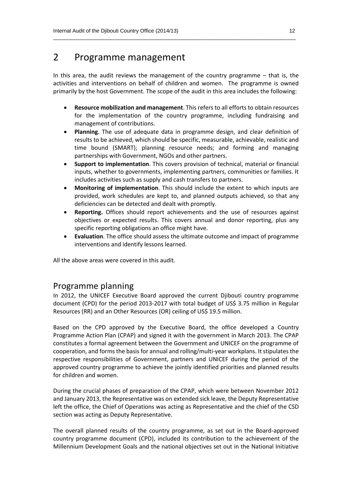# 2 Programme management

In this area, the audit reviews the management of the country programme  $-$  that is, the activities and interventions on behalf of children and women. The programme is owned primarily by the host Government. The scope of the audit in this area includes the following:

\_\_\_\_\_\_\_\_\_\_\_\_\_\_\_\_\_\_\_\_\_\_\_\_\_\_\_\_\_\_\_\_\_\_\_\_\_\_\_\_\_\_\_\_\_\_\_\_\_\_\_\_\_\_\_\_\_\_\_\_\_\_\_\_\_\_\_\_\_\_\_\_\_\_\_\_\_\_\_\_\_\_

- **Resource mobilization and management**. This refers to all efforts to obtain resources for the implementation of the country programme, including fundraising and management of contributions.
- **Planning**. The use of adequate data in programme design, and clear definition of results to be achieved, which should be specific, measurable, achievable, realistic and time bound (SMART); planning resource needs; and forming and managing partnerships with Government, NGOs and other partners.
- **Support to implementation**. This covers provision of technical, material or financial inputs, whether to governments, implementing partners, communities or families. It includes activities such as supply and cash transfers to partners.
- **Monitoring of implementation**. This should include the extent to which inputs are provided, work schedules are kept to, and planned outputs achieved, so that any deficiencies can be detected and dealt with promptly.
- **Reporting.** Offices should report achievements and the use of resources against objectives or expected results. This covers annual and donor reporting, plus any specific reporting obligations an office might have.
- **Evaluation**. The office should assess the ultimate outcome and impact of programme interventions and identify lessons learned.

All the above areas were covered in this audit.

## Programme planning

In 2012, the UNICEF Executive Board approved the current Djibouti country programme document (CPD) for the period 2013-2017 with total budget of US\$ 3.75 million in Regular Resources (RR) and an Other Resources (OR) ceiling of US\$ 19.5 million.

Based on the CPD approved by the Executive Board, the office developed a Country Programme Action Plan (CPAP) and signed it with the government in March 2013. The CPAP constitutes a formal agreement between the Government and UNICEF on the programme of cooperation, and forms the basis for annual and rolling/multi-year workplans. It stipulates the respective responsibilities of Government, partners and UNICEF during the period of the approved country programme to achieve the jointly identified priorities and planned results for children and women.

During the crucial phases of preparation of the CPAP, which were between November 2012 and January 2013, the Representative was on extended sick leave, the Deputy Representative left the office, the Chief of Operations was acting as Representative and the chief of the CSD section was acting as Deputy Representative.

The overall planned results of the country programme, as set out in the Board-approved country programme document (CPD), included its contribution to the achievement of the Millennium Development Goals and the national objectives set out in the National Initiative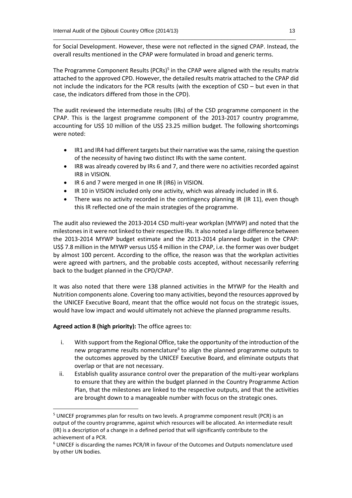for Social Development. However, these were not reflected in the signed CPAP. Instead, the overall results mentioned in the CPAP were formulated in broad and generic terms.

\_\_\_\_\_\_\_\_\_\_\_\_\_\_\_\_\_\_\_\_\_\_\_\_\_\_\_\_\_\_\_\_\_\_\_\_\_\_\_\_\_\_\_\_\_\_\_\_\_\_\_\_\_\_\_\_\_\_\_\_\_\_\_\_\_\_\_\_\_\_\_\_\_\_\_\_\_\_\_\_\_\_

The Programme Component Results (PCRs)<sup>5</sup> in the CPAP were aligned with the results matrix attached to the approved CPD. However, the detailed results matrix attached to the CPAP did not include the indicators for the PCR results (with the exception of CSD – but even in that case, the indicators differed from those in the CPD).

The audit reviewed the intermediate results (IRs) of the CSD programme component in the CPAP. This is the largest programme component of the 2013-2017 country programme, accounting for US\$ 10 million of the US\$ 23.25 million budget. The following shortcomings were noted:

- IR1 and IR4 had different targets but their narrative was the same, raising the question of the necessity of having two distinct IRs with the same content.
- IR8 was already covered by IRs 6 and 7, and there were no activities recorded against IR8 in VISION.
- IR 6 and 7 were merged in one IR (IR6) in VISION.
- IR 10 in VISION included only one activity, which was already included in IR 6.
- There was no activity recorded in the contingency planning IR (IR 11), even though this IR reflected one of the main strategies of the programme.

The audit also reviewed the 2013-2014 CSD multi-year workplan (MYWP) and noted that the milestones in it were not linked to their respective IRs. It also noted a large difference between the 2013-2014 MYWP budget estimate and the 2013-2014 planned budget in the CPAP: US\$ 7.8 million in the MYWP versus US\$ 4 million in the CPAP, i.e. the former was over budget by almost 100 percent. According to the office, the reason was that the workplan activities were agreed with partners, and the probable costs accepted, without necessarily referring back to the budget planned in the CPD/CPAP.

It was also noted that there were 138 planned activities in the MYWP for the Health and Nutrition components alone. Covering too many activities, beyond the resources approved by the UNICEF Executive Board, meant that the office would not focus on the strategic issues, would have low impact and would ultimately not achieve the planned programme results.

#### **Agreed action 8 (high priority):** The office agrees to:

**.** 

- i. With support from the Regional Office, take the opportunity of the introduction of the new programme results nomenclature<sup>6</sup> to align the planned programme outputs to the outcomes approved by the UNICEF Executive Board, and eliminate outputs that overlap or that are not necessary.
- ii. Establish quality assurance control over the preparation of the multi-year workplans to ensure that they are within the budget planned in the Country Programme Action Plan, that the milestones are linked to the respective outputs, and that the activities are brought down to a manageable number with focus on the strategic ones.

<sup>&</sup>lt;sup>5</sup> UNICEF programmes plan for results on two levels. A programme component result (PCR) is an output of the country programme, against which resources will be allocated. An intermediate result (IR) is a description of a change in a defined period that will significantly contribute to the achievement of a PCR.

<sup>6</sup> UNICEF is discarding the names PCR/IR in favour of the Outcomes and Outputs nomenclature used by other UN bodies.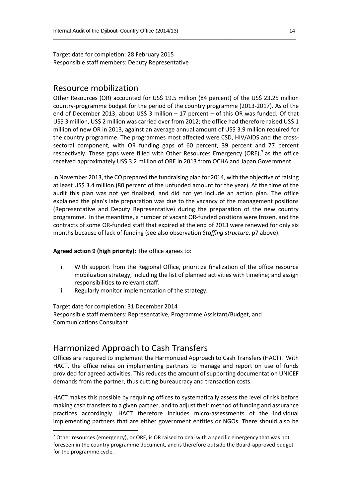Target date for completion: 28 February 2015 Responsible staff members: Deputy Representative

### Resource mobilization

Other Resources (OR) accounted for US\$ 19.5 million (84 percent) of the US\$ 23.25 million country-programme budget for the period of the country programme (2013-2017). As of the end of December 2013, about US\$ 3 million – 17 percent – of this OR was funded. Of that US\$ 3 million, US\$ 2 million was carried over from 2012; the office had therefore raised US\$ 1 million of new OR in 2013, against an average annual amount of US\$ 3.9 million required for the country programme. The programmes most affected were CSD, HIV/AIDS and the crosssectoral component, with OR funding gaps of 60 percent, 39 percent and 77 percent respectively. These gaps were filled with Other Resources Emergency (ORE),<sup>7</sup> as the office received approximately US\$ 3.2 million of ORE in 2013 from OCHA and Japan Government.

\_\_\_\_\_\_\_\_\_\_\_\_\_\_\_\_\_\_\_\_\_\_\_\_\_\_\_\_\_\_\_\_\_\_\_\_\_\_\_\_\_\_\_\_\_\_\_\_\_\_\_\_\_\_\_\_\_\_\_\_\_\_\_\_\_\_\_\_\_\_\_\_\_\_\_\_\_\_\_\_\_\_

In November 2013, the CO prepared the fundraising plan for 2014, with the objective of raising at least US\$ 3.4 million (80 percent of the unfunded amount for the year). At the time of the audit this plan was not yet finalized, and did not yet include an action plan. The office explained the plan's late preparation was due to the vacancy of the management positions (Representative and Deputy Representative) during the preparation of the new country programme. In the meantime, a number of vacant OR-funded positions were frozen, and the contracts of some OR-funded staff that expired at the end of 2013 were renewed for only six months because of lack of funding (see also observation *Staffing structure*, p7 above).

**Agreed action 9 (high priority):** The office agrees to:

- i. With support from the Regional Office, prioritize finalization of the office resource mobilization strategy, including the list of planned activities with timeline; and assign responsibilities to relevant staff.
- ii. Regularly monitor implementation of the strategy.

Target date for completion: 31 December 2014

**.** 

Responsible staff members: Representative, Programme Assistant/Budget, and Communications Consultant

# Harmonized Approach to Cash Transfers

Offices are required to implement the Harmonized Approach to Cash Transfers (HACT). With HACT, the office relies on implementing partners to manage and report on use of funds provided for agreed activities. This reduces the amount of supporting documentation UNICEF demands from the partner, thus cutting bureaucracy and transaction costs.

HACT makes this possible by requiring offices to systematically assess the level of risk before making cash transfers to a given partner, and to adjust their method of funding and assurance practices accordingly. HACT therefore includes micro-assessments of the individual implementing partners that are either government entities or NGOs. There should also be

 $7$  Other resources (emergency), or ORE, is OR raised to deal with a specific emergency that was not foreseen in the country programme document, and is therefore outside the Board-approved budget for the programme cycle.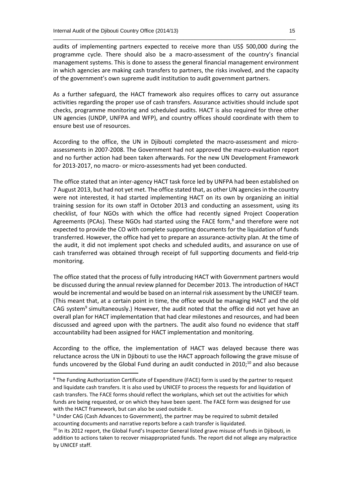audits of implementing partners expected to receive more than US\$ 500,000 during the programme cycle. There should also be a macro-assessment of the country's financial management systems. This is done to assess the general financial management environment in which agencies are making cash transfers to partners, the risks involved, and the capacity of the government's own supreme audit institution to audit government partners.

\_\_\_\_\_\_\_\_\_\_\_\_\_\_\_\_\_\_\_\_\_\_\_\_\_\_\_\_\_\_\_\_\_\_\_\_\_\_\_\_\_\_\_\_\_\_\_\_\_\_\_\_\_\_\_\_\_\_\_\_\_\_\_\_\_\_\_\_\_\_\_\_\_\_\_\_\_\_\_\_\_\_

As a further safeguard, the HACT framework also requires offices to carry out assurance activities regarding the proper use of cash transfers. Assurance activities should include spot checks, programme monitoring and scheduled audits. HACT is also required for three other UN agencies (UNDP, UNFPA and WFP), and country offices should coordinate with them to ensure best use of resources.

According to the office, the UN in Djibouti completed the macro-assessment and microassessments in 2007-2008. The Government had not approved the macro-evaluation report and no further action had been taken afterwards. For the new UN Development Framework for 2013-2017, no macro- or micro-assessments had yet been conducted.

The office stated that an inter-agency HACT task force led by UNFPA had been established on 7 August 2013, but had not yet met. The office stated that, as other UN agencies in the country were not interested, it had started implementing HACT on its own by organizing an initial training session for its own staff in October 2013 and conducting an assessment, using its checklist, of four NGOs with which the office had recently signed Project Cooperation Agreements (PCAs). These NGOs had started using the FACE form,<sup>8</sup> and therefore were not expected to provide the CO with complete supporting documents for the liquidation of funds transferred. However, the office had yet to prepare an assurance-activity plan. At the time of the audit, it did not implement spot checks and scheduled audits, and assurance on use of cash transferred was obtained through receipt of full supporting documents and field-trip monitoring.

The office stated that the process of fully introducing HACT with Government partners would be discussed during the annual review planned for December 2013. The introduction of HACT would be incremental and would be based on an internal risk assessment by the UNICEF team. (This meant that, at a certain point in time, the office would be managing HACT and the old CAG system<sup>9</sup> simultaneously.) However, the audit noted that the office did not yet have an overall plan for HACT implementation that had clear milestones and resources, and had been discussed and agreed upon with the partners. The audit also found no evidence that staff accountability had been assigned for HACT implementation and monitoring.

According to the office, the implementation of HACT was delayed because there was reluctance across the UN in Djibouti to use the HACT approach following the grave misuse of funds uncovered by the Global Fund during an audit conducted in 2010;<sup>10</sup> and also because

**.** 

<sup>&</sup>lt;sup>8</sup> The Funding Authorization Certificate of Expenditure (FACE) form is used by the partner to request and liquidate cash transfers. It is also used by UNICEF to process the requests for and liquidation of cash transfers. The FACE forms should reflect the workplans, which set out the activities for which funds are being requested, or on which they have been spent. The FACE form was designed for use with the HACT framework, but can also be used outside it.

<sup>9</sup> Under CAG (Cash Advances to Government), the partner may be required to submit detailed accounting documents and narrative reports before a cash transfer is liquidated.

<sup>&</sup>lt;sup>10</sup> In its 2012 report, the Global Fund's Inspector General listed grave misuse of funds in Djibouti, in addition to actions taken to recover misappropriated funds. The report did not allege any malpractice by UNICEF staff.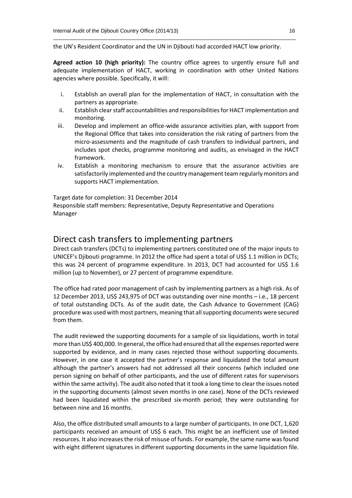the UN's Resident Coordinator and the UN in Djibouti had accorded HACT low priority.

\_\_\_\_\_\_\_\_\_\_\_\_\_\_\_\_\_\_\_\_\_\_\_\_\_\_\_\_\_\_\_\_\_\_\_\_\_\_\_\_\_\_\_\_\_\_\_\_\_\_\_\_\_\_\_\_\_\_\_\_\_\_\_\_\_\_\_\_\_\_\_\_\_\_\_\_\_\_\_\_\_\_

**Agreed action 10 (high priority):** The country office agrees to urgently ensure full and adequate implementation of HACT, working in coordination with other United Nations agencies where possible. Specifically, it will:

- i. Establish an overall plan for the implementation of HACT, in consultation with the partners as appropriate.
- ii. Establish clear staff accountabilities and responsibilities for HACT implementation and monitoring.
- iii. Develop and implement an office-wide assurance activities plan, with support from the Regional Office that takes into consideration the risk rating of partners from the micro-assessments and the magnitude of cash transfers to individual partners, and includes spot checks, programme monitoring and audits, as envisaged in the HACT framework.
- iv. Establish a monitoring mechanism to ensure that the assurance activities are satisfactorily implemented and the country management team regularly monitors and supports HACT implementation.

Target date for completion: 31 December 2014

Responsible staff members: Representative, Deputy Representative and Operations Manager

## Direct cash transfers to implementing partners

Direct cash transfers (DCTs) to implementing partners constituted one of the major inputs to UNICEF's Djibouti programme. In 2012 the office had spent a total of US\$ 1.1 million in DCTs; this was 24 percent of programme expenditure. In 2013, DCT had accounted for US\$ 1.6 million (up to November), or 27 percent of programme expenditure.

The office had rated poor management of cash by implementing partners as a high risk. As of 12 December 2013, US\$ 243,975 of DCT was outstanding over nine months – i.e., 18 percent of total outstanding DCTs. As of the audit date, the Cash Advance to Government (CAG) procedure was used with most partners, meaning that all supporting documents were secured from them.

The audit reviewed the supporting documents for a sample of six liquidations, worth in total more than US\$ 400,000. In general, the office had ensured that all the expenses reported were supported by evidence, and in many cases rejected those without supporting documents. However, in one case it accepted the partner's response and liquidated the total amount although the partner's answers had not addressed all their concerns (which included one person signing on behalf of other participants, and the use of different rates for supervisors within the same activity). The audit also noted that it took a long time to clear the issues noted in the supporting documents (almost seven months in one case). None of the DCTs reviewed had been liquidated within the prescribed six-month period; they were outstanding for between nine and 16 months.

Also, the office distributed small amounts to a large number of participants. In one DCT, 1,620 participants received an amount of US\$ 6 each. This might be an inefficient use of limited resources. It also increasesthe risk of misuse of funds. For example, the same name was found with eight different signatures in different supporting documents in the same liquidation file.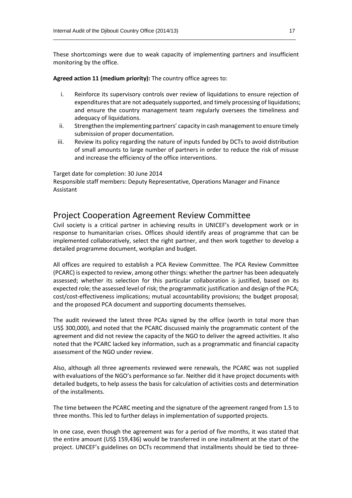These shortcomings were due to weak capacity of implementing partners and insufficient monitoring by the office.

\_\_\_\_\_\_\_\_\_\_\_\_\_\_\_\_\_\_\_\_\_\_\_\_\_\_\_\_\_\_\_\_\_\_\_\_\_\_\_\_\_\_\_\_\_\_\_\_\_\_\_\_\_\_\_\_\_\_\_\_\_\_\_\_\_\_\_\_\_\_\_\_\_\_\_\_\_\_\_\_\_\_

**Agreed action 11 (medium priority):** The country office agrees to:

- i. Reinforce its supervisory controls over review of liquidations to ensure rejection of expenditures that are not adequately supported, and timely processing of liquidations; and ensure the country management team regularly oversees the timeliness and adequacy of liquidations.
- ii. Strengthen the implementing partners' capacity in cash management to ensure timely submission of proper documentation.
- iii. Review its policy regarding the nature of inputs funded by DCTs to avoid distribution of small amounts to large number of partners in order to reduce the risk of misuse and increase the efficiency of the office interventions.

Target date for completion: 30 June 2014

Responsible staff members: Deputy Representative, Operations Manager and Finance Assistant

### Project Cooperation Agreement Review Committee

Civil society is a critical partner in achieving results in UNICEF's development work or in response to humanitarian crises. Offices should identify areas of programme that can be implemented collaboratively, select the right partner, and then work together to develop a detailed programme document, workplan and budget.

All offices are required to establish a PCA Review Committee. The PCA Review Committee (PCARC) is expected to review, among other things: whether the partner has been adequately assessed; whether its selection for this particular collaboration is justified, based on its expected role; the assessed level of risk; the programmatic justification and design of the PCA; cost/cost-effectiveness implications; mutual accountability provisions; the budget proposal; and the proposed PCA document and supporting documents themselves.

The audit reviewed the latest three PCAs signed by the office (worth in total more than US\$ 300,000), and noted that the PCARC discussed mainly the programmatic content of the agreement and did not review the capacity of the NGO to deliver the agreed activities. It also noted that the PCARC lacked key information, such as a programmatic and financial capacity assessment of the NGO under review.

Also, although all three agreements reviewed were renewals, the PCARC was not supplied with evaluations of the NGO's performance so far. Neither did it have project documents with detailed budgets, to help assess the basis for calculation of activities costs and determination of the installments.

The time between the PCARC meeting and the signature of the agreement ranged from 1.5 to three months. This led to further delays in implementation of supported projects.

In one case, even though the agreement was for a period of five months, it was stated that the entire amount (US\$ 159,436) would be transferred in one installment at the start of the project. UNICEF's guidelines on DCTs recommend that installments should be tied to three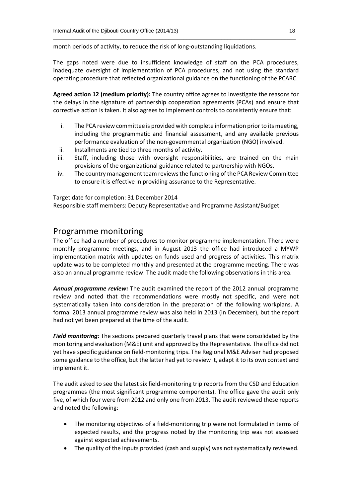month periods of activity, to reduce the risk of long-outstanding liquidations.

The gaps noted were due to insufficient knowledge of staff on the PCA procedures, inadequate oversight of implementation of PCA procedures, and not using the standard operating procedure that reflected organizational guidance on the functioning of the PCARC.

\_\_\_\_\_\_\_\_\_\_\_\_\_\_\_\_\_\_\_\_\_\_\_\_\_\_\_\_\_\_\_\_\_\_\_\_\_\_\_\_\_\_\_\_\_\_\_\_\_\_\_\_\_\_\_\_\_\_\_\_\_\_\_\_\_\_\_\_\_\_\_\_\_\_\_\_\_\_\_\_\_\_

**Agreed action 12 (medium priority):** The country office agrees to investigate the reasons for the delays in the signature of partnership cooperation agreements (PCAs) and ensure that corrective action is taken. It also agrees to implement controls to consistently ensure that:

- i. The PCA review committee is provided with complete information prior to its meeting, including the programmatic and financial assessment, and any available previous performance evaluation of the non-governmental organization (NGO) involved.
- ii. Installments are tied to three months of activity.
- iii. Staff, including those with oversight responsibilities, are trained on the main provisions of the organizational guidance related to partnership with NGOs.
- iv. The country management team reviews the functioning of the PCA Review Committee to ensure it is effective in providing assurance to the Representative.

Target date for completion: 31 December 2014 Responsible staff members: Deputy Representative and Programme Assistant/Budget

## Programme monitoring

The office had a number of procedures to monitor programme implementation. There were monthly programme meetings, and in August 2013 the office had introduced a MYWP implementation matrix with updates on funds used and progress of activities. This matrix update was to be completed monthly and presented at the programme meeting. There was also an annual programme review. The audit made the following observations in this area.

*Annual programme review:* The audit examined the report of the 2012 annual programme review and noted that the recommendations were mostly not specific, and were not systematically taken into consideration in the preparation of the following workplans. A formal 2013 annual programme review was also held in 2013 (in December), but the report had not yet been prepared at the time of the audit.

*Field monitoring:* The sections prepared quarterly travel plans that were consolidated by the monitoring and evaluation (M&E) unit and approved by the Representative. The office did not yet have specific guidance on field-monitoring trips. The Regional M&E Adviser had proposed some guidance to the office, but the latter had yet to review it, adapt it to its own context and implement it.

The audit asked to see the latest six field-monitoring trip reports from the CSD and Education programmes (the most significant programme components). The office gave the audit only five, of which four were from 2012 and only one from 2013. The audit reviewed these reports and noted the following:

- The monitoring objectives of a field-monitoring trip were not formulated in terms of expected results, and the progress noted by the monitoring trip was not assessed against expected achievements.
- The quality of the inputs provided (cash and supply) was not systematically reviewed.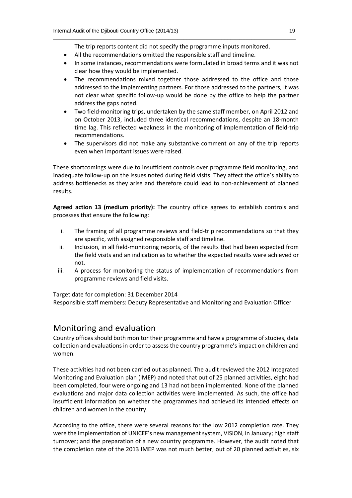\_\_\_\_\_\_\_\_\_\_\_\_\_\_\_\_\_\_\_\_\_\_\_\_\_\_\_\_\_\_\_\_\_\_\_\_\_\_\_\_\_\_\_\_\_\_\_\_\_\_\_\_\_\_\_\_\_\_\_\_\_\_\_\_\_\_\_\_\_\_\_\_\_\_\_\_\_\_\_\_\_\_ The trip reports content did not specify the programme inputs monitored.

- All the recommendations omitted the responsible staff and timeline.
- In some instances, recommendations were formulated in broad terms and it was not clear how they would be implemented.
- The recommendations mixed together those addressed to the office and those addressed to the implementing partners. For those addressed to the partners, it was not clear what specific follow-up would be done by the office to help the partner address the gaps noted.
- Two field-monitoring trips, undertaken by the same staff member, on April 2012 and on October 2013, included three identical recommendations, despite an 18-month time lag. This reflected weakness in the monitoring of implementation of field-trip recommendations.
- The supervisors did not make any substantive comment on any of the trip reports even when important issues were raised.

These shortcomings were due to insufficient controls over programme field monitoring, and inadequate follow-up on the issues noted during field visits. They affect the office's ability to address bottlenecks as they arise and therefore could lead to non-achievement of planned results.

**Agreed action 13 (medium priority):** The country office agrees to establish controls and processes that ensure the following:

- i. The framing of all programme reviews and field-trip recommendations so that they are specific, with assigned responsible staff and timeline.
- ii. Inclusion, in all field-monitoring reports, of the results that had been expected from the field visits and an indication as to whether the expected results were achieved or not.
- iii. A process for monitoring the status of implementation of recommendations from programme reviews and field visits.

Target date for completion: 31 December 2014

Responsible staff members: Deputy Representative and Monitoring and Evaluation Officer

# Monitoring and evaluation

Country offices should both monitor their programme and have a programme of studies, data collection and evaluations in order to assess the country programme's impact on children and women.

These activities had not been carried out as planned. The audit reviewed the 2012 Integrated Monitoring and Evaluation plan (IMEP) and noted that out of 25 planned activities, eight had been completed, four were ongoing and 13 had not been implemented. None of the planned evaluations and major data collection activities were implemented. As such, the office had insufficient information on whether the programmes had achieved its intended effects on children and women in the country.

According to the office, there were several reasons for the low 2012 completion rate. They were the implementation of UNICEF's new management system, VISION, in January; high staff turnover; and the preparation of a new country programme. However, the audit noted that the completion rate of the 2013 IMEP was not much better; out of 20 planned activities, six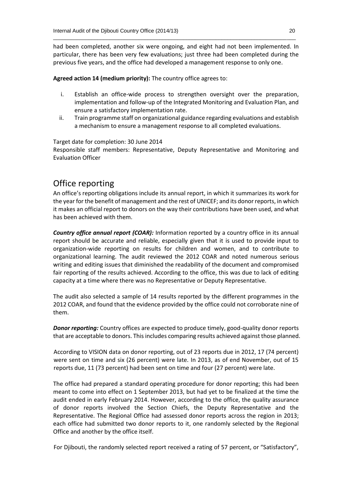had been completed, another six were ongoing, and eight had not been implemented. In particular, there has been very few evaluations; just three had been completed during the previous five years, and the office had developed a management response to only one.

\_\_\_\_\_\_\_\_\_\_\_\_\_\_\_\_\_\_\_\_\_\_\_\_\_\_\_\_\_\_\_\_\_\_\_\_\_\_\_\_\_\_\_\_\_\_\_\_\_\_\_\_\_\_\_\_\_\_\_\_\_\_\_\_\_\_\_\_\_\_\_\_\_\_\_\_\_\_\_\_\_\_

**Agreed action 14 (medium priority):** The country office agrees to:

- i. Establish an office-wide process to strengthen oversight over the preparation, implementation and follow-up of the Integrated Monitoring and Evaluation Plan, and ensure a satisfactory implementation rate.
- ii. Train programme staff on organizational guidance regarding evaluations and establish a mechanism to ensure a management response to all completed evaluations.

Target date for completion: 30 June 2014

Responsible staff members: Representative, Deputy Representative and Monitoring and Evaluation Officer

# Office reporting

An office's reporting obligations include its annual report, in which it summarizes its work for the year for the benefit of management and the rest of UNICEF; and its donor reports, in which it makes an official report to donors on the way their contributions have been used, and what has been achieved with them.

*Country office annual report (COAR):* Information reported by a country office in its annual report should be accurate and reliable, especially given that it is used to provide input to organization-wide reporting on results for children and women, and to contribute to organizational learning. The audit reviewed the 2012 COAR and noted numerous serious writing and editing issues that diminished the readability of the document and compromised fair reporting of the results achieved. According to the office, this was due to lack of editing capacity at a time where there was no Representative or Deputy Representative.

The audit also selected a sample of 14 results reported by the different programmes in the 2012 COAR, and found that the evidence provided by the office could not corroborate nine of them.

*Donor reporting:* Country offices are expected to produce timely, good-quality donor reports that are acceptable to donors. This includes comparing results achieved against those planned.

According to VISION data on donor reporting, out of 23 reports due in 2012, 17 (74 percent) were sent on time and six (26 percent) were late. In 2013, as of end November, out of 15 reports due, 11 (73 percent) had been sent on time and four (27 percent) were late.

The office had prepared a standard operating procedure for donor reporting; this had been meant to come into effect on 1 September 2013, but had yet to be finalized at the time the audit ended in early February 2014. However, according to the office, the quality assurance of donor reports involved the Section Chiefs, the Deputy Representative and the Representative. The Regional Office had assessed donor reports across the region in 2013; each office had submitted two donor reports to it, one randomly selected by the Regional Office and another by the office itself.

For Djibouti, the randomly selected report received a rating of 57 percent, or "Satisfactory",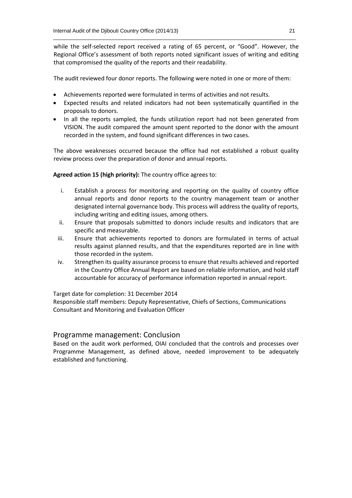while the self-selected report received a rating of 65 percent, or "Good". However, the Regional Office's assessment of both reports noted significant issues of writing and editing that compromised the quality of the reports and their readability.

\_\_\_\_\_\_\_\_\_\_\_\_\_\_\_\_\_\_\_\_\_\_\_\_\_\_\_\_\_\_\_\_\_\_\_\_\_\_\_\_\_\_\_\_\_\_\_\_\_\_\_\_\_\_\_\_\_\_\_\_\_\_\_\_\_\_\_\_\_\_\_\_\_\_\_\_\_\_\_\_\_\_

The audit reviewed four donor reports. The following were noted in one or more of them:

- Achievements reported were formulated in terms of activities and not results.
- Expected results and related indicators had not been systematically quantified in the proposals to donors.
- In all the reports sampled, the funds utilization report had not been generated from VISION. The audit compared the amount spent reported to the donor with the amount recorded in the system, and found significant differences in two cases.

The above weaknesses occurred because the office had not established a robust quality review process over the preparation of donor and annual reports.

**Agreed action 15 (high priority):** The country office agrees to:

- i. Establish a process for monitoring and reporting on the quality of country office annual reports and donor reports to the country management team or another designated internal governance body. This process will address the quality of reports, including writing and editing issues, among others.
- ii. Ensure that proposals submitted to donors include results and indicators that are specific and measurable.
- iii. Ensure that achievements reported to donors are formulated in terms of actual results against planned results, and that the expenditures reported are in line with those recorded in the system.
- iv. Strengthen its quality assurance process to ensure that results achieved and reported in the Country Office Annual Report are based on reliable information, and hold staff accountable for accuracy of performance information reported in annual report.

Target date for completion: 31 December 2014

Responsible staff members: Deputy Representative, Chiefs of Sections, Communications Consultant and Monitoring and Evaluation Officer

#### Programme management: Conclusion

Based on the audit work performed, OIAI concluded that the controls and processes over Programme Management, as defined above, needed improvement to be adequately established and functioning.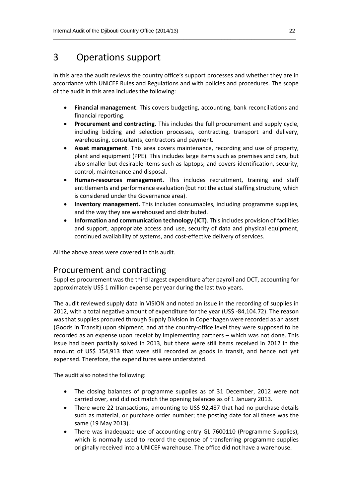# 3 Operations support

In this area the audit reviews the country office's support processes and whether they are in accordance with UNICEF Rules and Regulations and with policies and procedures. The scope of the audit in this area includes the following:

\_\_\_\_\_\_\_\_\_\_\_\_\_\_\_\_\_\_\_\_\_\_\_\_\_\_\_\_\_\_\_\_\_\_\_\_\_\_\_\_\_\_\_\_\_\_\_\_\_\_\_\_\_\_\_\_\_\_\_\_\_\_\_\_\_\_\_\_\_\_\_\_\_\_\_\_\_\_\_\_\_\_

- **Financial management**. This covers budgeting, accounting, bank reconciliations and financial reporting.
- **Procurement and contracting.** This includes the full procurement and supply cycle, including bidding and selection processes, contracting, transport and delivery, warehousing, consultants, contractors and payment.
- **Asset management**. This area covers maintenance, recording and use of property, plant and equipment (PPE). This includes large items such as premises and cars, but also smaller but desirable items such as laptops; and covers identification, security, control, maintenance and disposal.
- **Human-resources management.** This includes recruitment, training and staff entitlements and performance evaluation (but not the actual staffing structure, which is considered under the Governance area).
- **Inventory management.** This includes consumables, including programme supplies, and the way they are warehoused and distributed.
- **Information and communication technology (ICT)**. This includes provision of facilities and support, appropriate access and use, security of data and physical equipment, continued availability of systems, and cost-effective delivery of services.

All the above areas were covered in this audit.

# Procurement and contracting

Supplies procurement was the third largest expenditure after payroll and DCT, accounting for approximately US\$ 1 million expense per year during the last two years.

The audit reviewed supply data in VISION and noted an issue in the recording of supplies in 2012, with a total negative amount of expenditure for the year (US\$ -84,104.72). The reason was that supplies procured through Supply Division in Copenhagen were recorded as an asset (Goods in Transit) upon shipment, and at the country-office level they were supposed to be recorded as an expense upon receipt by implementing partners – which was not done. This issue had been partially solved in 2013, but there were still items received in 2012 in the amount of US\$ 154,913 that were still recorded as goods in transit, and hence not yet expensed. Therefore, the expenditures were understated.

The audit also noted the following:

- The closing balances of programme supplies as of 31 December, 2012 were not carried over, and did not match the opening balances as of 1 January 2013.
- There were 22 transactions, amounting to US\$ 92,487 that had no purchase details such as material, or purchase order number; the posting date for all these was the same (19 May 2013).
- There was inadequate use of accounting entry GL 7600110 (Programme Supplies), which is normally used to record the expense of transferring programme supplies originally received into a UNICEF warehouse. The office did not have a warehouse.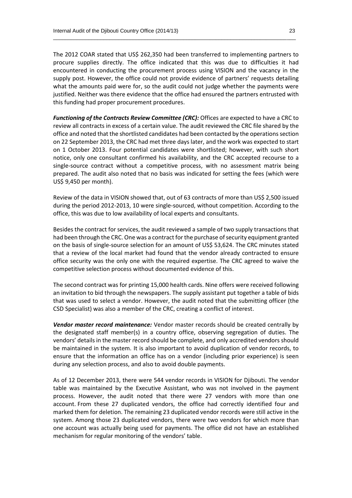The 2012 COAR stated that US\$ 262,350 had been transferred to implementing partners to procure supplies directly. The office indicated that this was due to difficulties it had encountered in conducting the procurement process using VISION and the vacancy in the supply post. However, the office could not provide evidence of partners' requests detailing what the amounts paid were for, so the audit could not judge whether the payments were justified. Neither was there evidence that the office had ensured the partners entrusted with this funding had proper procurement procedures.

\_\_\_\_\_\_\_\_\_\_\_\_\_\_\_\_\_\_\_\_\_\_\_\_\_\_\_\_\_\_\_\_\_\_\_\_\_\_\_\_\_\_\_\_\_\_\_\_\_\_\_\_\_\_\_\_\_\_\_\_\_\_\_\_\_\_\_\_\_\_\_\_\_\_\_\_\_\_\_\_\_\_

*Functioning of the Contracts Review Committee (CRC):* Offices are expected to have a CRC to review all contracts in excess of a certain value. The audit reviewed the CRC file shared by the office and noted that the shortlisted candidates had been contacted by the operations section on 22 September 2013, the CRC had met three days later, and the work was expected to start on 1 October 2013. Four potential candidates were shortlisted; however, with such short notice, only one consultant confirmed his availability, and the CRC accepted recourse to a single-source contract without a competitive process, with no assessment matrix being prepared. The audit also noted that no basis was indicated for setting the fees (which were US\$ 9,450 per month).

Review of the data in VISION showed that, out of 63 contracts of more than US\$ 2,500 issued during the period 2012-2013, 10 were single-sourced, without competition. According to the office, this was due to low availability of local experts and consultants.

Besides the contract for services, the audit reviewed a sample of two supply transactions that had been through the CRC. One was a contract for the purchase of security equipment granted on the basis of single-source selection for an amount of US\$ 53,624. The CRC minutes stated that a review of the local market had found that the vendor already contracted to ensure office security was the only one with the required expertise. The CRC agreed to waive the competitive selection process without documented evidence of this.

The second contract was for printing 15,000 health cards. Nine offers were received following an invitation to bid through the newspapers. The supply assistant put together a table of bids that was used to select a vendor. However, the audit noted that the submitting officer (the CSD Specialist) was also a member of the CRC, creating a conflict of interest.

*Vendor master record maintenance:* Vendor master records should be created centrally by the designated staff member(s) in a country office, observing segregation of duties. The vendors' details in the master record should be complete, and only accredited vendors should be maintained in the system. It is also important to avoid duplication of vendor records, to ensure that the information an office has on a vendor (including prior experience) is seen during any selection process, and also to avoid double payments.

As of 12 December 2013, there were 544 vendor records in VISION for Djibouti. The vendor table was maintained by the Executive Assistant, who was not involved in the payment process. However, the audit noted that there were 27 vendors with more than one account. From these 27 duplicated vendors, the office had correctly identified four and marked them for deletion. The remaining 23 duplicated vendor records were still active in the system. Among those 23 duplicated vendors, there were two vendors for which more than one account was actually being used for payments. The office did not have an established mechanism for regular monitoring of the vendors' table.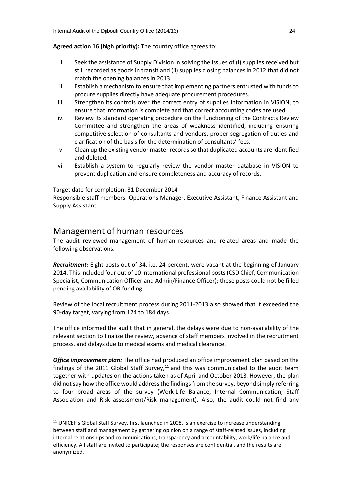#### **Agreed action 16 (high priority):** The country office agrees to:

i. Seek the assistance of Supply Division in solving the issues of (i) supplies received but still recorded as goods in transit and (ii) supplies closing balances in 2012 that did not match the opening balances in 2013.

\_\_\_\_\_\_\_\_\_\_\_\_\_\_\_\_\_\_\_\_\_\_\_\_\_\_\_\_\_\_\_\_\_\_\_\_\_\_\_\_\_\_\_\_\_\_\_\_\_\_\_\_\_\_\_\_\_\_\_\_\_\_\_\_\_\_\_\_\_\_\_\_\_\_\_\_\_\_\_\_\_\_

- ii. Establish a mechanism to ensure that implementing partners entrusted with funds to procure supplies directly have adequate procurement procedures.
- iii. Strengthen its controls over the correct entry of supplies information in VISION, to ensure that information is complete and that correct accounting codes are used.
- iv. Review its standard operating procedure on the functioning of the Contracts Review Committee and strengthen the areas of weakness identified, including ensuring competitive selection of consultants and vendors, proper segregation of duties and clarification of the basis for the determination of consultants' fees.
- v. Clean up the existing vendor master records so that duplicated accounts are identified and deleted.
- vi. Establish a system to regularly review the vendor master database in VISION to prevent duplication and ensure completeness and accuracy of records.

Target date for completion: 31 December 2014

Responsible staff members: Operations Manager, Executive Assistant, Finance Assistant and Supply Assistant

## Management of human resources

 $\overline{a}$ 

The audit reviewed management of human resources and related areas and made the following observations.

*Recruitment:* Eight posts out of 34, i.e. 24 percent, were vacant at the beginning of January 2014. This included four out of 10 international professional posts (CSD Chief, Communication Specialist, Communication Officer and Admin/Finance Officer); these posts could not be filled pending availability of OR funding.

Review of the local recruitment process during 2011-2013 also showed that it exceeded the 90-day target, varying from 124 to 184 days.

The office informed the audit that in general, the delays were due to non-availability of the relevant section to finalize the review, absence of staff members involved in the recruitment process, and delays due to medical exams and medical clearance.

*Office improvement plan:* The office had produced an office improvement plan based on the findings of the 2011 Global Staff Survey, $^{11}$  and this was communicated to the audit team together with updates on the actions taken as of April and October 2013. However, the plan did not say how the office would address the findings from the survey, beyond simply referring to four broad areas of the survey (Work-Life Balance, Internal Communication, Staff Association and Risk assessment/Risk management). Also, the audit could not find any

 $<sup>11</sup>$  UNICEF's Global Staff Survey, first launched in 2008, is an exercise to increase understanding</sup> between staff and management by gathering opinion on a range of staff-related issues, including internal relationships and communications, transparency and accountability, work/life balance and efficiency. All staff are invited to participate; the responses are confidential, and the results are anonymized.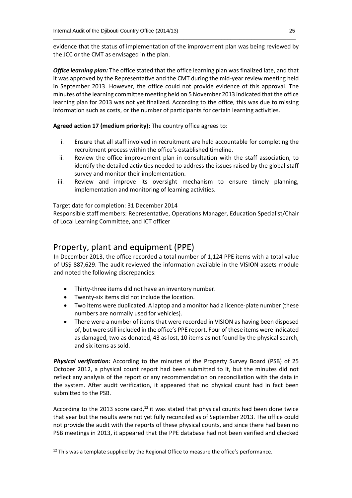evidence that the status of implementation of the improvement plan was being reviewed by the JCC or the CMT as envisaged in the plan.

\_\_\_\_\_\_\_\_\_\_\_\_\_\_\_\_\_\_\_\_\_\_\_\_\_\_\_\_\_\_\_\_\_\_\_\_\_\_\_\_\_\_\_\_\_\_\_\_\_\_\_\_\_\_\_\_\_\_\_\_\_\_\_\_\_\_\_\_\_\_\_\_\_\_\_\_\_\_\_\_\_\_

*Office learning plan:* The office stated that the office learning plan was finalized late, and that it was approved by the Representative and the CMT during the mid-year review meeting held in September 2013. However, the office could not provide evidence of this approval. The minutes of the learning committee meeting held on 5 November 2013 indicated that the office learning plan for 2013 was not yet finalized. According to the office, this was due to missing information such as costs, or the number of participants for certain learning activities.

**Agreed action 17 (medium priority):** The country office agrees to:

- i. Ensure that all staff involved in recruitment are held accountable for completing the recruitment process within the office's established timeline.
- ii. Review the office improvement plan in consultation with the staff association, to identify the detailed activities needed to address the issues raised by the global staff survey and monitor their implementation.
- iii. Review and improve its oversight mechanism to ensure timely planning, implementation and monitoring of learning activities.

Target date for completion: 31 December 2014

Responsible staff members: Representative, Operations Manager, Education Specialist/Chair of Local Learning Committee, and ICT officer

## Property, plant and equipment (PPE)

In December 2013, the office recorded a total number of 1,124 PPE items with a total value of US\$ 887,629. The audit reviewed the information available in the VISION assets module and noted the following discrepancies:

- Thirty-three items did not have an inventory number.
- Twenty-six items did not include the location.

**.** 

- Two items were duplicated. A laptop and a monitor had a licence-plate number (these numbers are normally used for vehicles).
- There were a number of items that were recorded in VISION as having been disposed of, but were still included in the office's PPE report. Four of these items were indicated as damaged, two as donated, 43 as lost, 10 items as not found by the physical search, and six items as sold.

*Physical verification:* According to the minutes of the Property Survey Board (PSB) of 25 October 2012, a physical count report had been submitted to it, but the minutes did not reflect any analysis of the report or any recommendation on reconciliation with the data in the system. After audit verification, it appeared that no physical count had in fact been submitted to the PSB.

According to the 2013 score card,<sup>12</sup> it was stated that physical counts had been done twice that year but the results were not yet fully reconciled as of September 2013. The office could not provide the audit with the reports of these physical counts, and since there had been no PSB meetings in 2013, it appeared that the PPE database had not been verified and checked

 $12$  This was a template supplied by the Regional Office to measure the office's performance.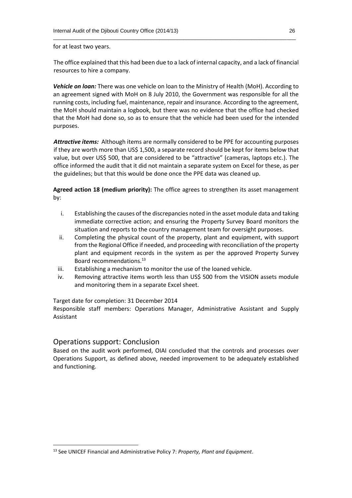for at least two years.

The office explained that this had been due to a lack of internal capacity, and a lack of financial resources to hire a company.

*Vehicle on loan:* There was one vehicle on loan to the Ministry of Health (MoH). According to an agreement signed with MoH on 8 July 2010, the Government was responsible for all the running costs, including fuel, maintenance, repair and insurance. According to the agreement, the MoH should maintain a logbook, but there was no evidence that the office had checked that the MoH had done so, so as to ensure that the vehicle had been used for the intended purposes.

*Attractive items:* Although items are normally considered to be PPE for accounting purposes if they are worth more than US\$ 1,500, a separate record should be kept for items below that value, but over US\$ 500, that are considered to be "attractive" (cameras, laptops etc.). The office informed the audit that it did not maintain a separate system on Excel for these, as per the guidelines; but that this would be done once the PPE data was cleaned up.

**Agreed action 18 (medium priority):** The office agrees to strengthen its asset management by:

- i. Establishing the causes of the discrepancies noted in the asset module data and taking immediate corrective action; and ensuring the Property Survey Board monitors the situation and reports to the country management team for oversight purposes.
- ii. Completing the physical count of the property, plant and equipment, with support from the Regional Office if needed, and proceeding with reconciliation of the property plant and equipment records in the system as per the approved Property Survey Board recommendations.<sup>13</sup>
- iii. Establishing a mechanism to monitor the use of the loaned vehicle.
- iv. Removing attractive items worth less than US\$ 500 from the VISION assets module and monitoring them in a separate Excel sheet.

#### Target date for completion: 31 December 2014

Responsible staff members: Operations Manager, Administrative Assistant and Supply Assistant

#### Operations support: Conclusion

**.** 

Based on the audit work performed, OIAI concluded that the controls and processes over Operations Support, as defined above, needed improvement to be adequately established and functioning.

<sup>13</sup> See UNICEF Financial and Administrative Policy 7: *Property, Plant and Equipment*.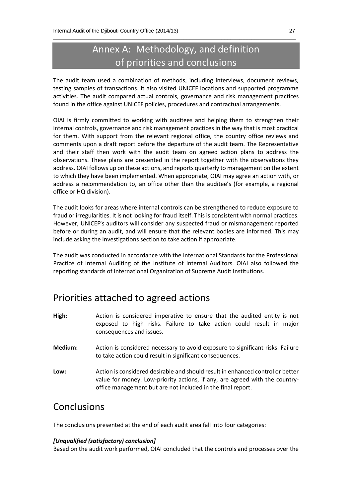# Annex A: Methodology, and definition of priorities and conclusions

\_\_\_\_\_\_\_\_\_\_\_\_\_\_\_\_\_\_\_\_\_\_\_\_\_\_\_\_\_\_\_\_\_\_\_\_\_\_\_\_\_\_\_\_\_\_\_\_\_\_\_\_\_\_\_\_\_\_\_\_\_\_\_\_\_\_\_\_\_\_\_\_\_\_\_\_\_\_\_\_\_\_

The audit team used a combination of methods, including interviews, document reviews, testing samples of transactions. It also visited UNICEF locations and supported programme activities. The audit compared actual controls, governance and risk management practices found in the office against UNICEF policies, procedures and contractual arrangements.

OIAI is firmly committed to working with auditees and helping them to strengthen their internal controls, governance and risk management practices in the way that is most practical for them. With support from the relevant regional office, the country office reviews and comments upon a draft report before the departure of the audit team. The Representative and their staff then work with the audit team on agreed action plans to address the observations. These plans are presented in the report together with the observations they address. OIAI follows up on these actions, and reports quarterly to management on the extent to which they have been implemented. When appropriate, OIAI may agree an action with, or address a recommendation to, an office other than the auditee's (for example, a regional office or HQ division).

The audit looks for areas where internal controls can be strengthened to reduce exposure to fraud or irregularities. It is not looking for fraud itself. This is consistent with normal practices. However, UNICEF's auditors will consider any suspected fraud or mismanagement reported before or during an audit, and will ensure that the relevant bodies are informed. This may include asking the Investigations section to take action if appropriate.

The audit was conducted in accordance with the International Standards for the Professional Practice of Internal Auditing of the Institute of Internal Auditors. OIAI also followed the reporting standards of International Organization of Supreme Audit Institutions.

# Priorities attached to agreed actions

- **High:** Action is considered imperative to ensure that the audited entity is not exposed to high risks. Failure to take action could result in major consequences and issues.
- **Medium:** Action is considered necessary to avoid exposure to significant risks. Failure to take action could result in significant consequences.
- **Low:** Action is considered desirable and should result in enhanced control or better value for money. Low-priority actions, if any, are agreed with the countryoffice management but are not included in the final report.

# Conclusions

The conclusions presented at the end of each audit area fall into four categories:

#### *[Unqualified (satisfactory) conclusion]*

Based on the audit work performed, OIAI concluded that the controls and processes over the